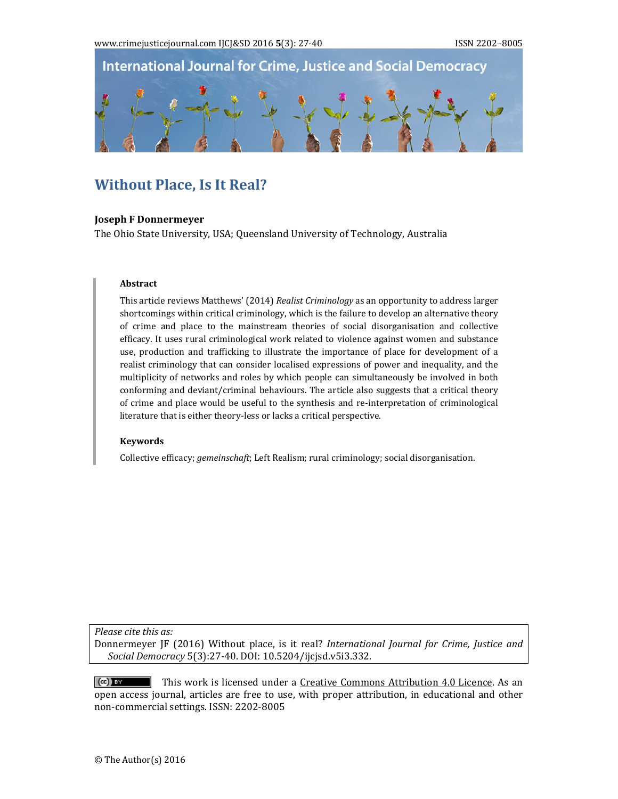

# **Without Place, Is It Real?**

#### **Joseph F Donnermeyer**

The Ohio State University, USA; Queensland University of Technology, Australia

#### **Abstract**

This article reviews Matthews' (2014) *Realist Criminology* as an opportunity to address larger shortcomings within critical criminology, which is the failure to develop an alternative theory of crime and place to the mainstream theories of social disorganisation and collective efficacy. It uses rural criminological work related to violence against women and substance use, production and trafficking to illustrate the importance of place for development of a realist criminology that can consider localised expressions of power and inequality, and the multiplicity of networks and roles by which people can simultaneously be involved in both conforming and deviant/criminal behaviours. The article also suggests that a critical theory of crime and place would be useful to the synthesis and re-interpretation of criminological literature that is either theory-less or lacks a critical perspective.

#### **Keywords**

Collective efficacy; *gemeinschaft*; Left Realism; rural criminology; social disorganisation.

*Please cite this as:*

Donnermeyer JF (2016) Without place, is it real? *International Journal for Crime, Justice and Social Democracy* 5(3):27‐40. DOI: 10.5204/ijcjsd.v5i3.332. 

This work is licensed under a Creative Commons Attribution 4.0 Licence. As an  $(cc)$  BY open access journal, articles are free to use, with proper attribution, in educational and other non-commercial settings. ISSN: 2202-8005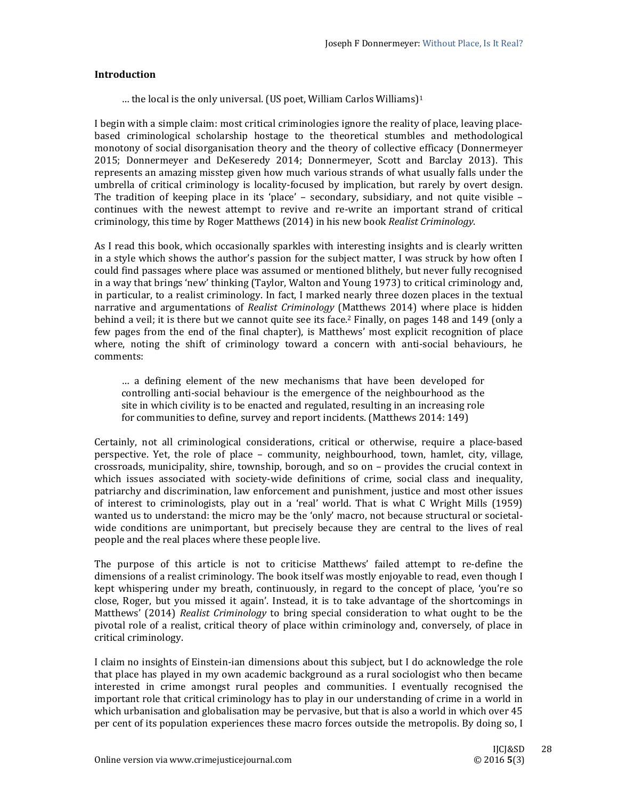## **Introduction**

... the local is the only universal. (US poet, William Carlos Williams)<sup>1</sup>

I begin with a simple claim: most critical criminologies ignore the reality of place, leaving placebased criminological scholarship hostage to the theoretical stumbles and methodological monotony of social disorganisation theory and the theory of collective efficacy (Donnermeyer 2015; Donnermeyer and DeKeseredy 2014; Donnermeyer, Scott and Barclay 2013). This represents an amazing misstep given how much various strands of what usually falls under the umbrella of critical criminology is locality-focused by implication, but rarely by overt design. The tradition of keeping place in its 'place' – secondary, subsidiary, and not quite visible – continues with the newest attempt to revive and re-write an important strand of critical criminology, this time by Roger Matthews (2014) in his new book *Realist Criminology*.

As I read this book, which occasionally sparkles with interesting insights and is clearly written in a style which shows the author's passion for the subject matter, I was struck by how often I could find passages where place was assumed or mentioned blithely, but never fully recognised in a way that brings 'new' thinking (Taylor, Walton and Young 1973) to critical criminology and, in particular, to a realist criminology. In fact, I marked nearly three dozen places in the textual narrative and argumentations of *Realist Criminology* (Matthews 2014) where place is hidden behind a veil; it is there but we cannot quite see its face.<sup>2</sup> Finally, on pages  $148$  and  $149$  (only a few pages from the end of the final chapter), is Matthews' most explicit recognition of place where, noting the shift of criminology toward a concern with anti-social behaviours, he comments: 

... a defining element of the new mechanisms that have been developed for controlling anti-social behaviour is the emergence of the neighbourhood as the site in which civility is to be enacted and regulated, resulting in an increasing role for communities to define, survey and report incidents. (Matthews 2014: 149)

Certainly, not all criminological considerations, critical or otherwise, require a place-based perspective. Yet, the role of place – community, neighbourhood, town, hamlet, city, village, crossroads, municipality, shire, township, borough, and so on – provides the crucial context in which issues associated with society-wide definitions of crime, social class and inequality, patriarchy and discrimination, law enforcement and punishment, justice and most other issues of interest to criminologists, play out in a 'real' world. That is what C Wright Mills (1959) wanted us to understand: the micro may be the 'only' macro, not because structural or societalwide conditions are unimportant, but precisely because they are central to the lives of real people and the real places where these people live.

The purpose of this article is not to criticise Matthews' failed attempt to re-define the dimensions of a realist criminology. The book itself was mostly enjoyable to read, even though I kept whispering under my breath, continuously, in regard to the concept of place, 'you're so close, Roger, but you missed it again'. Instead, it is to take advantage of the shortcomings in Matthews' (2014) *Realist Criminology* to bring special consideration to what ought to be the pivotal role of a realist, critical theory of place within criminology and, conversely, of place in critical criminology. 

I claim no insights of Einstein-ian dimensions about this subject, but I do acknowledge the role that place has played in my own academic background as a rural sociologist who then became interested in crime amongst rural peoples and communities. I eventually recognised the important role that critical criminology has to play in our understanding of crime in a world in which urbanisation and globalisation may be pervasive, but that is also a world in which over  $45$ per cent of its population experiences these macro forces outside the metropolis. By doing so, I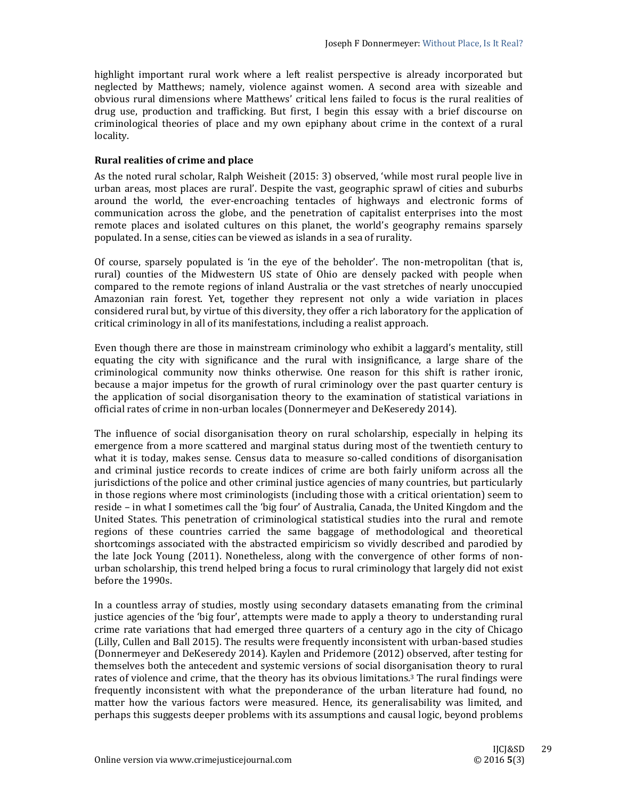highlight important rural work where a left realist perspective is already incorporated but neglected by Matthews; namely, violence against women. A second area with sizeable and obvious rural dimensions where Matthews' critical lens failed to focus is the rural realities of drug use, production and trafficking. But first, I begin this essay with a brief discourse on criminological theories of place and my own epiphany about crime in the context of a rural locality. 

# **Rural realities of crime and place**

As the noted rural scholar, Ralph Weisheit  $(2015: 3)$  observed, 'while most rural people live in urban areas, most places are rural'. Despite the vast, geographic sprawl of cities and suburbs around the world, the ever-encroaching tentacles of highways and electronic forms of communication across the globe, and the penetration of capitalist enterprises into the most remote places and isolated cultures on this planet, the world's geography remains sparsely populated. In a sense, cities can be viewed as islands in a sea of rurality.

Of course, sparsely populated is 'in the eye of the beholder'. The non-metropolitan (that is, rural) counties of the Midwestern US state of Ohio are densely packed with people when compared to the remote regions of inland Australia or the vast stretches of nearly unoccupied Amazonian rain forest. Yet, together they represent not only a wide variation in places considered rural but, by virtue of this diversity, they offer a rich laboratory for the application of critical criminology in all of its manifestations, including a realist approach.

Even though there are those in mainstream criminology who exhibit a laggard's mentality, still equating the city with significance and the rural with insignificance, a large share of the criminological community now thinks otherwise. One reason for this shift is rather ironic, because a major impetus for the growth of rural criminology over the past quarter century is the application of social disorganisation theory to the examination of statistical variations in official rates of crime in non-urban locales (Donnermeyer and DeKeseredy 2014).

The influence of social disorganisation theory on rural scholarship, especially in helping its emergence from a more scattered and marginal status during most of the twentieth century to what it is today, makes sense. Census data to measure so-called conditions of disorganisation and criminal justice records to create indices of crime are both fairly uniform across all the jurisdictions of the police and other criminal justice agencies of many countries, but particularly in those regions where most criminologists (including those with a critical orientation) seem to reside – in what I sometimes call the 'big four' of Australia, Canada, the United Kingdom and the United States. This penetration of criminological statistical studies into the rural and remote regions of these countries carried the same baggage of methodological and theoretical shortcomings associated with the abstracted empiricism so vividly described and parodied by the late  $lock$  Young  $(2011)$ . Nonetheless, along with the convergence of other forms of nonurban scholarship, this trend helped bring a focus to rural criminology that largely did not exist before the 1990s.

In a countless array of studies, mostly using secondary datasets emanating from the criminal justice agencies of the 'big four', attempts were made to apply a theory to understanding rural crime rate variations that had emerged three quarters of a century ago in the city of Chicago (Lilly, Cullen and Ball 2015). The results were frequently inconsistent with urban-based studies (Donnermeyer and DeKeseredy 2014). Kaylen and Pridemore (2012) observed, after testing for themselves both the antecedent and systemic versions of social disorganisation theory to rural rates of violence and crime, that the theory has its obvious limitations.<sup>3</sup> The rural findings were frequently inconsistent with what the preponderance of the urban literature had found, no matter how the various factors were measured. Hence, its generalisability was limited, and perhaps this suggests deeper problems with its assumptions and causal logic, beyond problems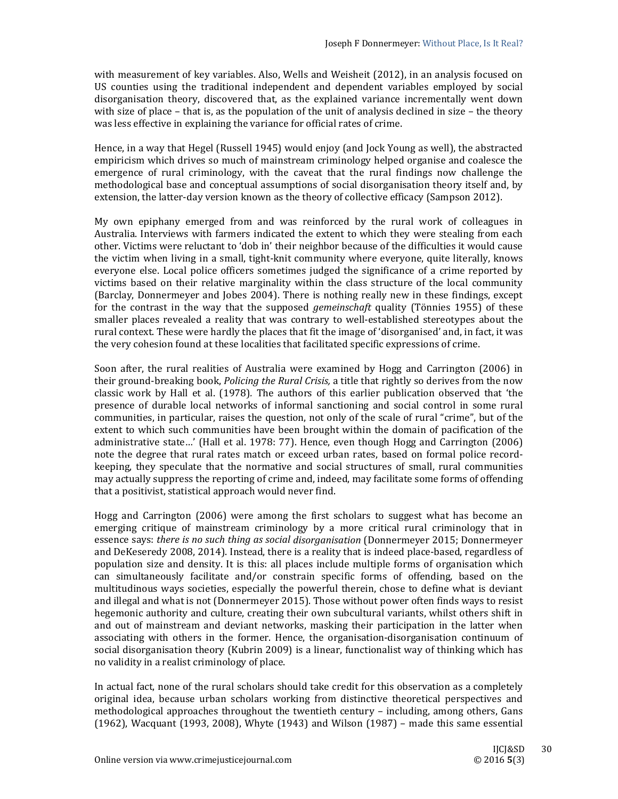with measurement of key variables. Also, Wells and Weisheit (2012), in an analysis focused on US counties using the traditional independent and dependent variables employed by social disorganisation theory, discovered that, as the explained variance incrementally went down with size of place – that is, as the population of the unit of analysis declined in size – the theory was less effective in explaining the variance for official rates of crime.

Hence, in a way that Hegel (Russell 1945) would enjoy (and Jock Young as well), the abstracted empiricism which drives so much of mainstream criminology helped organise and coalesce the emergence of rural criminology, with the caveat that the rural findings now challenge the methodological base and conceptual assumptions of social disorganisation theory itself and, by extension, the latter-day version known as the theory of collective efficacy (Sampson 2012).

My own epiphany emerged from and was reinforced by the rural work of colleagues in Australia. Interviews with farmers indicated the extent to which they were stealing from each other. Victims were reluctant to 'dob in' their neighbor because of the difficulties it would cause the victim when living in a small, tight-knit community where everyone, quite literally, knows everyone else. Local police officers sometimes judged the significance of a crime reported by victims based on their relative marginality within the class structure of the local community (Barclay, Donnermeyer and Jobes 2004). There is nothing really new in these findings, except for the contrast in the way that the supposed *gemeinschaft* quality (Tönnies 1955) of these smaller places revealed a reality that was contrary to well-established stereotypes about the rural context. These were hardly the places that fit the image of 'disorganised' and, in fact, it was the very cohesion found at these localities that facilitated specific expressions of crime.

Soon after, the rural realities of Australia were examined by Hogg and Carrington (2006) in their ground-breaking book, *Policing the Rural Crisis*, a title that rightly so derives from the now classic work by Hall et al. (1978). The authors of this earlier publication observed that 'the presence of durable local networks of informal sanctioning and social control in some rural communities, in particular, raises the question, not only of the scale of rural "crime", but of the extent to which such communities have been brought within the domain of pacification of the administrative state...' (Hall et al. 1978: 77). Hence, even though Hogg and Carrington (2006) note the degree that rural rates match or exceed urban rates, based on formal police recordkeeping, they speculate that the normative and social structures of small, rural communities may actually suppress the reporting of crime and, indeed, may facilitate some forms of offending that a positivist, statistical approach would never find.

Hogg and Carrington  $(2006)$  were among the first scholars to suggest what has become an emerging critique of mainstream criminology by a more critical rural criminology that in essence says: *there is no such thing as social disorganisation* (Donnermeyer 2015; Donnermeyer and DeKeseredy 2008, 2014). Instead, there is a reality that is indeed place-based, regardless of population size and density. It is this: all places include multiple forms of organisation which can simultaneously facilitate and/or constrain specific forms of offending, based on the multitudinous ways societies, especially the powerful therein, chose to define what is deviant and illegal and what is not (Donnermeyer  $2015$ ). Those without power often finds ways to resist hegemonic authority and culture, creating their own subcultural variants, whilst others shift in and out of mainstream and deviant networks, masking their participation in the latter when associating with others in the former. Hence, the organisation-disorganisation continuum of social disorganisation theory (Kubrin 2009) is a linear, functionalist way of thinking which has no validity in a realist criminology of place.

In actual fact, none of the rural scholars should take credit for this observation as a completely original idea, because urban scholars working from distinctive theoretical perspectives and methodological approaches throughout the twentieth century – including, among others, Gans  $(1962)$ , Wacquant  $(1993, 2008)$ , Whyte  $(1943)$  and Wilson  $(1987)$  – made this same essential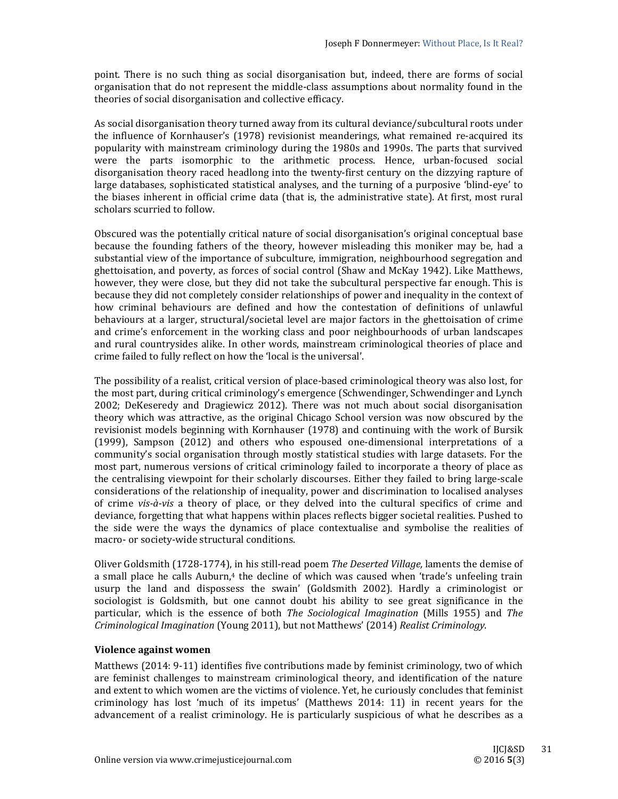point. There is no such thing as social disorganisation but, indeed, there are forms of social organisation that do not represent the middle-class assumptions about normality found in the theories of social disorganisation and collective efficacy.

As social disorganisation theory turned away from its cultural deviance/subcultural roots under the influence of Kornhauser's (1978) revisionist meanderings, what remained re-acquired its popularity with mainstream criminology during the 1980s and 1990s. The parts that survived were the parts isomorphic to the arithmetic process. Hence, urban-focused social disorganisation theory raced headlong into the twenty-first century on the dizzying rapture of large databases, sophisticated statistical analyses, and the turning of a purposive 'blind-eye' to the biases inherent in official crime data (that is, the administrative state). At first, most rural scholars scurried to follow.

Obscured was the potentially critical nature of social disorganisation's original conceptual base because the founding fathers of the theory, however misleading this moniker may be, had a substantial view of the importance of subculture, immigration, neighbourhood segregation and ghettoisation, and poverty, as forces of social control (Shaw and McKay 1942). Like Matthews, however, they were close, but they did not take the subcultural perspective far enough. This is because they did not completely consider relationships of power and inequality in the context of how criminal behaviours are defined and how the contestation of definitions of unlawful behaviours at a larger, structural/societal level are major factors in the ghettoisation of crime and crime's enforcement in the working class and poor neighbourhoods of urban landscapes and rural countrysides alike. In other words, mainstream criminological theories of place and crime failed to fully reflect on how the 'local is the universal'.

The possibility of a realist, critical version of place-based criminological theory was also lost, for the most part, during critical criminology's emergence (Schwendinger, Schwendinger and Lynch 2002; DeKeseredy and Dragiewicz 2012). There was not much about social disorganisation theory which was attractive, as the original Chicago School version was now obscured by the revisionist models beginning with Kornhauser (1978) and continuing with the work of Bursik  $(1999)$ , Sampson  $(2012)$  and others who espoused one-dimensional interpretations of a community's social organisation through mostly statistical studies with large datasets. For the most part, numerous versions of critical criminology failed to incorporate a theory of place as the centralising viewpoint for their scholarly discourses. Either they failed to bring large-scale considerations of the relationship of inequality, power and discrimination to localised analyses of crime *vis*-*à*-*vis* a theory of place, or they delved into the cultural specifics of crime and deviance, forgetting that what happens within places reflects bigger societal realities. Pushed to the side were the ways the dynamics of place contextualise and symbolise the realities of macro- or society-wide structural conditions.

Oliver Goldsmith (1728-1774), in his still-read poem *The Deserted Village*, laments the demise of a small place he calls Auburn,<sup>4</sup> the decline of which was caused when 'trade's unfeeling train usurp the land and dispossess the swain' (Goldsmith 2002). Hardly a criminologist or sociologist is Goldsmith, but one cannot doubt his ability to see great significance in the particular, which is the essence of both *The Sociological Imagination* (Mills 1955) and *The Criminological Imagination* (Young 2011), but not Matthews' (2014) *Realist Criminology*. 

### **Violence against women**

Matthews  $(2014: 9-11)$  identifies five contributions made by feminist criminology, two of which are feminist challenges to mainstream criminological theory, and identification of the nature and extent to which women are the victims of violence. Yet, he curiously concludes that feminist criminology has lost 'much of its impetus' (Matthews  $2014: 11$ ) in recent years for the advancement of a realist criminology. He is particularly suspicious of what he describes as a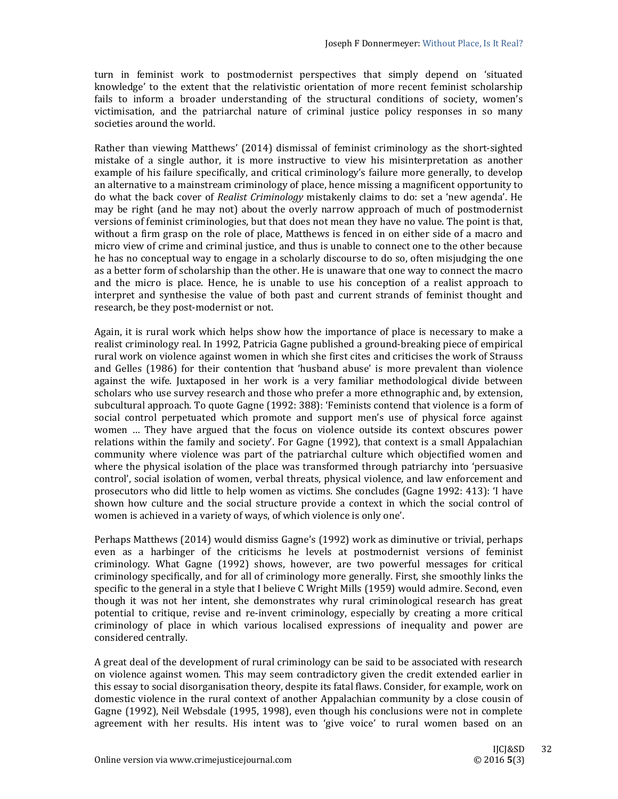turn in feminist work to postmodernist perspectives that simply depend on 'situated knowledge' to the extent that the relativistic orientation of more recent feminist scholarship fails to inform a broader understanding of the structural conditions of society, women's victimisation, and the patriarchal nature of criminal justice policy responses in so many societies around the world.

Rather than viewing Matthews' (2014) dismissal of feminist criminology as the short-sighted mistake of a single author, it is more instructive to view his misinterpretation as another example of his failure specifically, and critical criminology's failure more generally, to develop an alternative to a mainstream criminology of place, hence missing a magnificent opportunity to do what the back cover of *Realist Criminology* mistakenly claims to do: set a 'new agenda'. He may be right (and he may not) about the overly narrow approach of much of postmodernist versions of feminist criminologies, but that does not mean they have no value. The point is that, without a firm grasp on the role of place, Matthews is fenced in on either side of a macro and micro view of crime and criminal justice, and thus is unable to connect one to the other because he has no conceptual way to engage in a scholarly discourse to do so, often misjudging the one as a better form of scholarship than the other. He is unaware that one way to connect the macro and the micro is place. Hence, he is unable to use his conception of a realist approach to interpret and synthesise the value of both past and current strands of feminist thought and research, be they post-modernist or not.

Again, it is rural work which helps show how the importance of place is necessary to make a realist criminology real. In 1992, Patricia Gagne published a ground-breaking piece of empirical rural work on violence against women in which she first cites and criticises the work of Strauss and Gelles (1986) for their contention that 'husband abuse' is more prevalent than violence against the wife. Juxtaposed in her work is a very familiar methodological divide between scholars who use survey research and those who prefer a more ethnographic and, by extension, subcultural approach. To quote Gagne (1992: 388): 'Feminists contend that violence is a form of social control perpetuated which promote and support men's use of physical force against women ... They have argued that the focus on violence outside its context obscures power relations within the family and society'. For Gagne  $(1992)$ , that context is a small Appalachian community where violence was part of the patriarchal culture which objectified women and where the physical isolation of the place was transformed through patriarchy into 'persuasive control', social isolation of women, verbal threats, physical violence, and law enforcement and prosecutors who did little to help women as victims. She concludes (Gagne 1992: 413): 'I have shown how culture and the social structure provide a context in which the social control of women is achieved in a variety of ways, of which violence is only one'.

Perhaps Matthews (2014) would dismiss Gagne's (1992) work as diminutive or trivial, perhaps even as a harbinger of the criticisms he levels at postmodernist versions of feminist criminology. What Gagne (1992) shows, however, are two powerful messages for critical criminology specifically, and for all of criminology more generally. First, she smoothly links the specific to the general in a style that I believe C Wright Mills (1959) would admire. Second, even though it was not her intent, she demonstrates why rural criminological research has great potential to critique, revise and re-invent criminology, especially by creating a more critical criminology of place in which various localised expressions of inequality and power are considered centrally.

A great deal of the development of rural criminology can be said to be associated with research on violence against women. This may seem contradictory given the credit extended earlier in this essay to social disorganisation theory, despite its fatal flaws. Consider, for example, work on domestic violence in the rural context of another Appalachian community by a close cousin of Gagne (1992), Neil Websdale (1995, 1998), even though his conclusions were not in complete agreement with her results. His intent was to 'give voice' to rural women based on an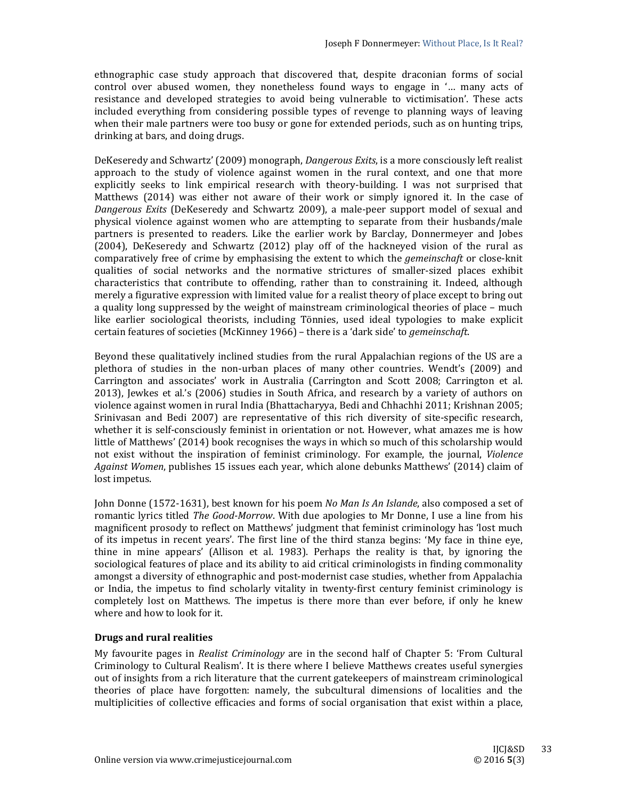ethnographic case study approach that discovered that, despite draconian forms of social control over abused women, they nonetheless found ways to engage in '... many acts of resistance and developed strategies to avoid being vulnerable to victimisation'. These acts included everything from considering possible types of revenge to planning ways of leaving when their male partners were too busy or gone for extended periods, such as on hunting trips, drinking at bars, and doing drugs.

DeKeseredy and Schwartz' (2009) monograph, *Dangerous Exits*, is a more consciously left realist approach to the study of violence against women in the rural context, and one that more explicitly seeks to link empirical research with theory-building. I was not surprised that Matthews  $(2014)$  was either not aware of their work or simply ignored it. In the case of *Dangerous Exits* (DeKeseredy and Schwartz 2009), a male-peer support model of sexual and physical violence against women who are attempting to separate from their husbands/male partners is presented to readers. Like the earlier work by Barclay, Donnermeyer and Jobes (2004), DeKeseredy and Schwartz (2012) play off of the hackneyed vision of the rural as comparatively free of crime by emphasising the extent to which the *gemeinschaft* or close-knit qualities of social networks and the normative strictures of smaller-sized places exhibit characteristics that contribute to offending, rather than to constraining it. Indeed, although merely a figurative expression with limited value for a realist theory of place except to bring out a quality long suppressed by the weight of mainstream criminological theories of place – much like earlier sociological theorists, including Tönnies, used ideal typologies to make explicit certain features of societies (McKinney 1966) - there is a 'dark side' to *gemeinschaft*.

Beyond these qualitatively inclined studies from the rural Appalachian regions of the US are a plethora of studies in the non-urban places of many other countries. Wendt's (2009) and Carrington and associates' work in Australia (Carrington and Scott 2008; Carrington et al. 2013), Jewkes et al.'s  $(2006)$  studies in South Africa, and research by a variety of authors on violence against women in rural India (Bhattacharyya, Bedi and Chhachhi 2011; Krishnan 2005; Srinivasan and Bedi 2007) are representative of this rich diversity of site-specific research, whether it is self-consciously feminist in orientation or not. However, what amazes me is how little of Matthews' (2014) book recognises the ways in which so much of this scholarship would not exist without the inspiration of feminist criminology. For example, the journal, *Violence Against Women,* publishes 15 issues each year, which alone debunks Matthews' (2014) claim of lost impetus.

John Donne (1572-1631), best known for his poem *No Man Is An Islande*, also composed a set of romantic lyrics titled *The Good-Morrow*. With due apologies to Mr Donne, I use a line from his magnificent prosody to reflect on Matthews' judgment that feminist criminology has 'lost much of its impetus in recent years'. The first line of the third stanza begins: 'My face in thine eye, thine in mine appears' (Allison et al. 1983). Perhaps the reality is that, by ignoring the sociological features of place and its ability to aid critical criminologists in finding commonality amongst a diversity of ethnographic and post-modernist case studies, whether from Appalachia or India, the impetus to find scholarly vitality in twenty-first century feminist criminology is completely lost on Matthews. The impetus is there more than ever before, if only he knew where and how to look for it.

# **Drugs and rural realities**

My favourite pages in *Realist Criminology* are in the second half of Chapter 5: 'From Cultural Criminology to Cultural Realism'. It is there where I believe Matthews creates useful synergies out of insights from a rich literature that the current gatekeepers of mainstream criminological theories of place have forgotten: namely, the subcultural dimensions of localities and the multiplicities of collective efficacies and forms of social organisation that exist within a place,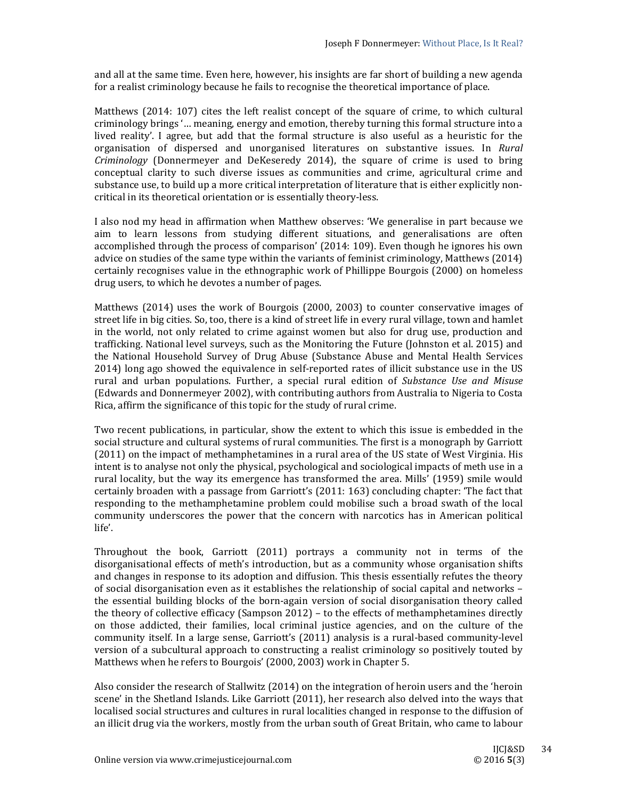and all at the same time. Even here, however, his insights are far short of building a new agenda for a realist criminology because he fails to recognise the theoretical importance of place.

Matthews  $(2014: 107)$  cites the left realist concept of the square of crime, to which cultural criminology brings '... meaning, energy and emotion, thereby turning this formal structure into a lived reality'. I agree, but add that the formal structure is also useful as a heuristic for the organisation of dispersed and unorganised literatures on substantive issues. In *Rural Criminology* (Donnermeyer and DeKeseredy 2014), the square of crime is used to bring conceptual clarity to such diverse issues as communities and crime, agricultural crime and substance use, to build up a more critical interpretation of literature that is either explicitly noncritical in its theoretical orientation or is essentially theory-less.

I also nod my head in affirmation when Matthew observes: 'We generalise in part because we aim to learn lessons from studying different situations, and generalisations are often accomplished through the process of comparison'  $(2014:109)$ . Even though he ignores his own advice on studies of the same type within the variants of feminist criminology, Matthews (2014) certainly recognises value in the ethnographic work of Phillippe Bourgois (2000) on homeless drug users, to which he devotes a number of pages.

Matthews  $(2014)$  uses the work of Bourgois  $(2000, 2003)$  to counter conservative images of street life in big cities. So, too, there is a kind of street life in every rural village, town and hamlet in the world, not only related to crime against women but also for drug use, production and trafficking. National level surveys, such as the Monitoring the Future (Johnston et al. 2015) and the National Household Survey of Drug Abuse (Substance Abuse and Mental Health Services 2014) long ago showed the equivalence in self-reported rates of illicit substance use in the US rural and urban populations. Further, a special rural edition of *Substance Use and Misuse* (Edwards and Donnermeyer 2002), with contributing authors from Australia to Nigeria to Costa Rica, affirm the significance of this topic for the study of rural crime.

Two recent publications, in particular, show the extent to which this issue is embedded in the social structure and cultural systems of rural communities. The first is a monograph by Garriott (2011) on the impact of methamphetamines in a rural area of the US state of West Virginia. His intent is to analyse not only the physical, psychological and sociological impacts of meth use in a rural locality, but the way its emergence has transformed the area. Mills' (1959) smile would certainly broaden with a passage from Garriott's  $(2011: 163)$  concluding chapter: 'The fact that responding to the methamphetamine problem could mobilise such a broad swath of the local community underscores the power that the concern with narcotics has in American political life'. 

Throughout the book, Garriott  $(2011)$  portrays a community not in terms of the disorganisational effects of meth's introduction, but as a community whose organisation shifts and changes in response to its adoption and diffusion. This thesis essentially refutes the theory of social disorganisation even as it establishes the relationship of social capital and networks – the essential building blocks of the born-again version of social disorganisation theory called the theory of collective efficacy (Sampson  $2012$ ) – to the effects of methamphetamines directly on those addicted, their families, local criminal justice agencies, and on the culture of the community itself. In a large sense, Garriott's (2011) analysis is a rural-based community-level version of a subcultural approach to constructing a realist criminology so positively touted by Matthews when he refers to Bourgois' (2000, 2003) work in Chapter 5.

Also consider the research of Stallwitz  $(2014)$  on the integration of heroin users and the 'heroin scene' in the Shetland Islands. Like Garriott (2011), her research also delved into the ways that localised social structures and cultures in rural localities changed in response to the diffusion of an illicit drug via the workers, mostly from the urban south of Great Britain, who came to labour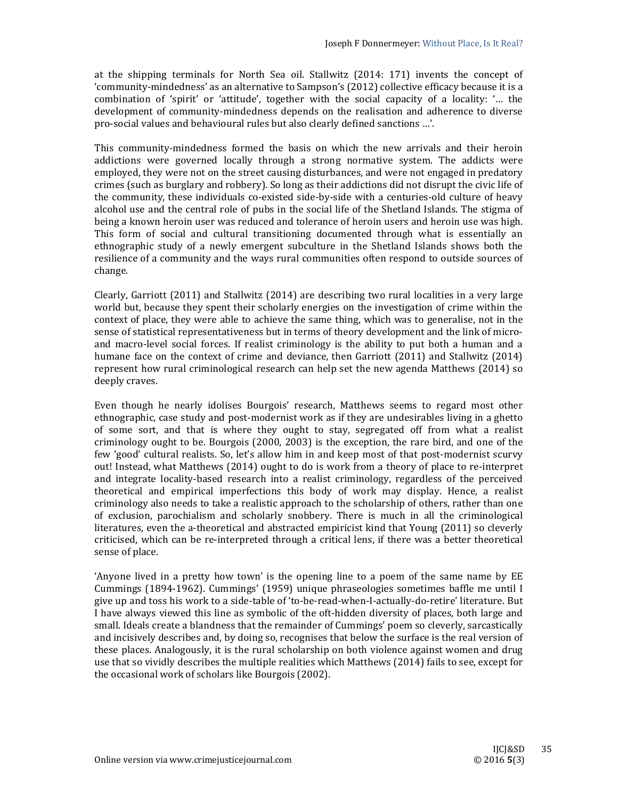at the shipping terminals for North Sea oil. Stallwitz  $(2014: 171)$  invents the concept of 'community-mindedness' as an alternative to Sampson's (2012) collective efficacy because it is a combination of 'spirit' or 'attitude', together with the social capacity of a locality: '... the development of community-mindedness depends on the realisation and adherence to diverse pro-social values and behavioural rules but also clearly defined sanctions ...'.

This community-mindedness formed the basis on which the new arrivals and their heroin addictions were governed locally through a strong normative system. The addicts were employed, they were not on the street causing disturbances, and were not engaged in predatory crimes (such as burglary and robbery). So long as their addictions did not disrupt the civic life of the community, these individuals co-existed side-by-side with a centuries-old culture of heavy alcohol use and the central role of pubs in the social life of the Shetland Islands. The stigma of being a known heroin user was reduced and tolerance of heroin users and heroin use was high. This form of social and cultural transitioning documented through what is essentially an ethnographic study of a newly emergent subculture in the Shetland Islands shows both the resilience of a community and the ways rural communities often respond to outside sources of change. 

Clearly, Garriott  $(2011)$  and Stallwitz  $(2014)$  are describing two rural localities in a very large world but, because they spent their scholarly energies on the investigation of crime within the context of place, they were able to achieve the same thing, which was to generalise, not in the sense of statistical representativeness but in terms of theory development and the link of microand macro-level social forces. If realist criminology is the ability to put both a human and a humane face on the context of crime and deviance, then Garriott (2011) and Stallwitz (2014) represent how rural criminological research can help set the new agenda Matthews  $(2014)$  so deeply craves.

Even though he nearly idolises Bourgois' research, Matthews seems to regard most other ethnographic, case study and post-modernist work as if they are undesirables living in a ghetto of some sort, and that is where they ought to stay, segregated off from what a realist criminology ought to be. Bourgois (2000, 2003) is the exception, the rare bird, and one of the few 'good' cultural realists. So, let's allow him in and keep most of that post-modernist scurvy out! Instead, what Matthews (2014) ought to do is work from a theory of place to re-interpret and integrate locality-based research into a realist criminology, regardless of the perceived theoretical and empirical imperfections this body of work may display. Hence, a realist criminology also needs to take a realistic approach to the scholarship of others, rather than one of exclusion, parochialism and scholarly snobbery. There is much in all the criminological literatures, even the a-theoretical and abstracted empiricist kind that Young (2011) so cleverly criticised, which can be re-interpreted through a critical lens, if there was a better theoretical sense of place.

'Anyone lived in a pretty how town' is the opening line to a poem of the same name by EE Cummings (1894-1962). Cummings' (1959) unique phraseologies sometimes baffle me until I give up and toss his work to a side-table of 'to-be-read-when-I-actually-do-retire' literature. But I have always viewed this line as symbolic of the oft-hidden diversity of places, both large and small. Ideals create a blandness that the remainder of Cummings' poem so cleverly, sarcastically and incisively describes and, by doing so, recognises that below the surface is the real version of these places. Analogously, it is the rural scholarship on both violence against women and drug use that so vividly describes the multiple realities which Matthews (2014) fails to see, except for the occasional work of scholars like Bourgois (2002).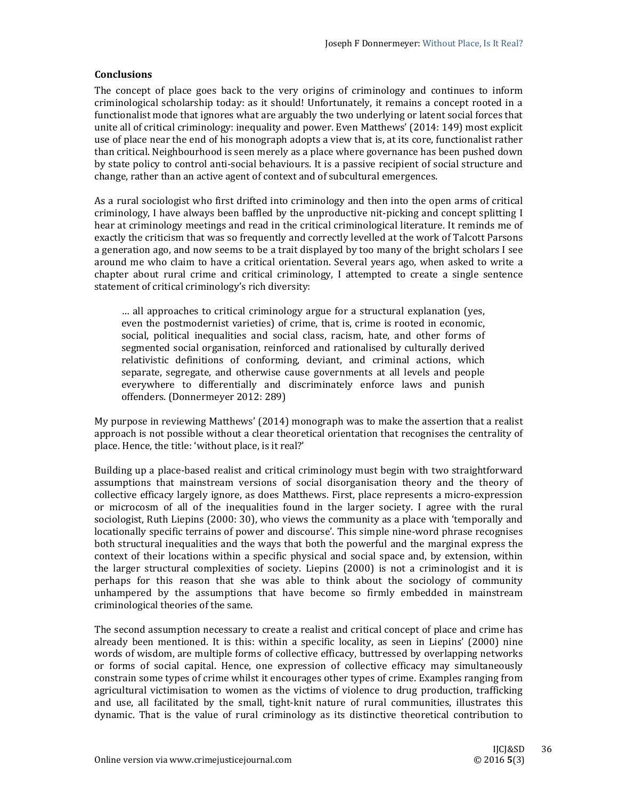## **Conclusions**

The concept of place goes back to the very origins of criminology and continues to inform criminological scholarship today: as it should! Unfortunately, it remains a concept rooted in a functionalist mode that ignores what are arguably the two underlying or latent social forces that unite all of critical criminology: inequality and power. Even Matthews' (2014: 149) most explicit use of place near the end of his monograph adopts a view that is, at its core, functionalist rather than critical. Neighbourhood is seen merely as a place where governance has been pushed down by state policy to control anti-social behaviours. It is a passive recipient of social structure and change, rather than an active agent of context and of subcultural emergences.

As a rural sociologist who first drifted into criminology and then into the open arms of critical criminology. I have always been baffled by the unproductive nit-picking and concept splitting I hear at criminology meetings and read in the critical criminological literature. It reminds me of exactly the criticism that was so frequently and correctly levelled at the work of Talcott Parsons a generation ago, and now seems to be a trait displayed by too many of the bright scholars I see around me who claim to have a critical orientation. Several years ago, when asked to write a chapter about rural crime and critical criminology, I attempted to create a single sentence statement of critical criminology's rich diversity:

... all approaches to critical criminology argue for a structural explanation (yes, even the postmodernist varieties) of crime, that is, crime is rooted in economic, social, political inequalities and social class, racism, hate, and other forms of segmented social organisation, reinforced and rationalised by culturally derived relativistic definitions of conforming, deviant, and criminal actions, which separate, segregate, and otherwise cause governments at all levels and people everywhere to differentially and discriminately enforce laws and punish offenders. (Donnermeyer 2012: 289)

My purpose in reviewing Matthews'  $(2014)$  monograph was to make the assertion that a realist approach is not possible without a clear theoretical orientation that recognises the centrality of place. Hence, the title: 'without place, is it real?'

Building up a place-based realist and critical criminology must begin with two straightforward assumptions that mainstream versions of social disorganisation theory and the theory of collective efficacy largely ignore, as does Matthews. First, place represents a micro-expression or microcosm of all of the inequalities found in the larger society. I agree with the rural sociologist, Ruth Liepins (2000: 30), who views the community as a place with 'temporally and locationally specific terrains of power and discourse'. This simple nine-word phrase recognises both structural inequalities and the ways that both the powerful and the marginal express the context of their locations within a specific physical and social space and, by extension, within the larger structural complexities of society. Liepins  $(2000)$  is not a criminologist and it is perhaps for this reason that she was able to think about the sociology of community unhampered by the assumptions that have become so firmly embedded in mainstream criminological theories of the same.

The second assumption necessary to create a realist and critical concept of place and crime has already been mentioned. It is this: within a specific locality, as seen in Liepins'  $(2000)$  nine words of wisdom, are multiple forms of collective efficacy, buttressed by overlapping networks or forms of social capital. Hence, one expression of collective efficacy may simultaneously constrain some types of crime whilst it encourages other types of crime. Examples ranging from agricultural victimisation to women as the victims of violence to drug production, trafficking and use, all facilitated by the small, tight-knit nature of rural communities, illustrates this dynamic. That is the value of rural criminology as its distinctive theoretical contribution to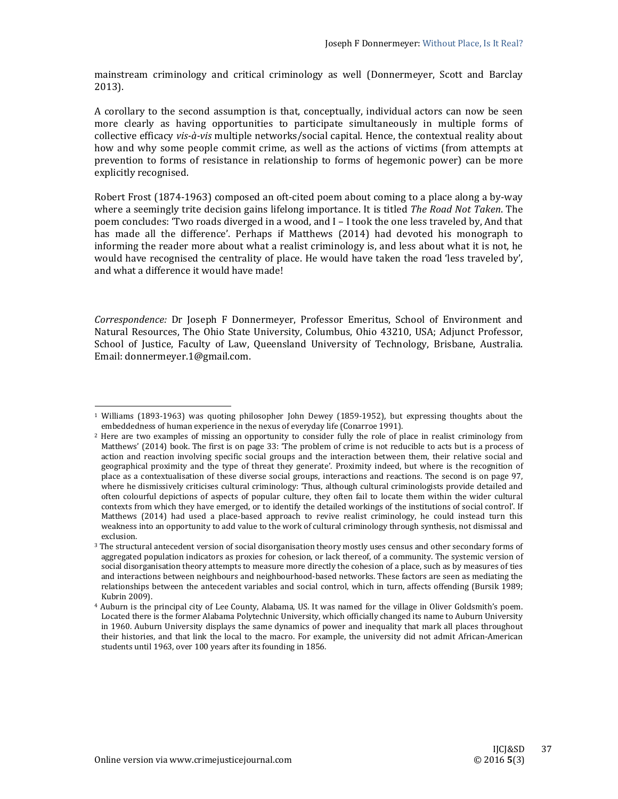mainstream criminology and critical criminology as well (Donnermeyer, Scott and Barclay 2013). 

A corollary to the second assumption is that, conceptually, individual actors can now be seen more clearly as having opportunities to participate simultaneously in multiple forms of collective efficacy *vis*-*à*-*vis* multiple networks/social capital. Hence, the contextual reality about how and why some people commit crime, as well as the actions of victims (from attempts at prevention to forms of resistance in relationship to forms of hegemonic power) can be more explicitly recognised.

Robert Frost  $(1874-1963)$  composed an oft-cited poem about coming to a place along a by-way where a seemingly trite decision gains lifelong importance. It is titled *The Road Not Taken*. The poem concludes: 'Two roads diverged in a wood, and I - I took the one less traveled by, And that has made all the difference'. Perhaps if Matthews (2014) had devoted his monograph to informing the reader more about what a realist criminology is, and less about what it is not, he would have recognised the centrality of place. He would have taken the road 'less traveled by', and what a difference it would have made!

*Correspondence:* Dr Joseph F Donnermeyer, Professor Emeritus, School of Environment and Natural Resources, The Ohio State University, Columbus, Ohio 43210, USA; Adjunct Professor, School of Justice, Faculty of Law, Queensland University of Technology, Brisbane, Australia. Email: donnermeyer.1@gmail.com.

 

 $1$  Williams (1893-1963) was quoting philosopher John Dewey (1859-1952), but expressing thoughts about the embeddedness of human experience in the nexus of everyday life (Conarroe 1991).

<sup>&</sup>lt;sup>2</sup> Here are two examples of missing an opportunity to consider fully the role of place in realist criminology from Matthews' (2014) book. The first is on page 33: 'The problem of crime is not reducible to acts but is a process of action and reaction involving specific social groups and the interaction between them, their relative social and geographical proximity and the type of threat they generate'. Proximity indeed, but where is the recognition of place as a contextualisation of these diverse social groups, interactions and reactions. The second is on page 97, where he dismissively criticises cultural criminology: 'Thus, although cultural criminologists provide detailed and often colourful depictions of aspects of popular culture, they often fail to locate them within the wider cultural contexts from which they have emerged, or to identify the detailed workings of the institutions of social control'. If Matthews (2014) had used a place-based approach to revive realist criminology, he could instead turn this weakness into an opportunity to add value to the work of cultural criminology through synthesis, not dismissal and exclusion. 

<sup>&</sup>lt;sup>3</sup> The structural antecedent version of social disorganisation theory mostly uses census and other secondary forms of aggregated population indicators as proxies for cohesion, or lack thereof, of a community. The systemic version of social disorganisation theory attempts to measure more directly the cohesion of a place, such as by measures of ties and interactions between neighbours and neighbourhood-based networks. These factors are seen as mediating the relationships between the antecedent variables and social control, which in turn, affects offending (Bursik 1989; Kubrin 2009). 

<sup>&</sup>lt;sup>4</sup> Auburn is the principal city of Lee County, Alabama, US. It was named for the village in Oliver Goldsmith's poem. Located there is the former Alabama Polytechnic University, which officially changed its name to Auburn University in 1960. Auburn University displays the same dynamics of power and inequality that mark all places throughout their histories, and that link the local to the macro. For example, the university did not admit African-American students until 1963, over 100 years after its founding in 1856.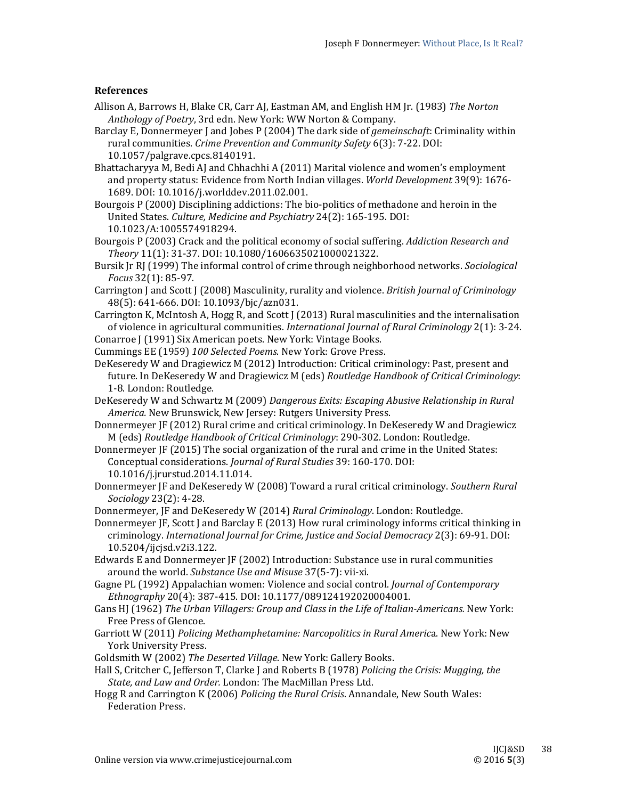### **References**

- Allison A, Barrows H, Blake CR, Carr AJ, Eastman AM, and English HM Jr. (1983) *The Norton Anthology of Poetry*, 3rd edn. New York: WW Norton & Company.
- Barclay E, Donnermeyer J and Jobes P (2004) The dark side of *gemeinschaft*: Criminality within rural communities. *Crime Prevention and Community Safety* 6(3): 7‐22. DOI: 10.1057/palgrave.cpcs.8140191.
- Bhattacharyya M, Bedi AJ and Chhachhi A (2011) Marital violence and women's employment and property status: Evidence from North Indian villages. *World Development* 39(9): 1676-1689. DOI: 10.1016/j.worlddev.2011.02.001.
- Bourgois  $P(2000)$  Disciplining addictions: The bio-politics of methadone and heroin in the United States. *Culture, Medicine and Psychiatry* 24(2): 165‐195. DOI: 10.1023/A:1005574918294.

Bourgois P (2003) Crack and the political economy of social suffering. *Addiction Research and Theory* 11(1): 31‐37. DOI: 10.1080/1606635021000021322. 

- Bursik [r R] (1999) The informal control of crime through neighborhood networks. *Sociological Focus* 32(1): 85‐97.
- Carrington J and Scott J (2008) Masculinity, rurality and violence. *British Journal of Criminology* 48(5): 641-666. DOI: 10.1093/bjc/azn031.
- Carrington K, McIntosh A, Hogg R, and Scott J (2013) Rural masculinities and the internalisation of violence in agricultural communities. *International Journal of Rural Criminology* 2(1): 3-24. Conarroe J (1991) Six American poets. New York: Vintage Books.
- Cummings EE (1959) *100 Selected Poems*. New York: Grove Press.
- DeKeseredy W and Dragiewicz M (2012) Introduction: Critical criminology: Past, present and future. In DeKeseredy W and Dragiewicz M (eds) *Routledge Handbook of Critical Criminology*: 1-8. London: Routledge.
- DeKeseredy W and Schwartz M (2009) *Dangerous Exits: Escaping Abusive Relationship in Rural* America. New Brunswick, New Jersey: Rutgers University Press.
- Donnermeyer JF (2012) Rural crime and critical criminology. In DeKeseredy W and Dragiewicz M (eds) *Routledge Handbook of Critical Criminology*: 290‐302. London: Routledge.
- Donnermeyer  $\sqrt{F(2015)}$  The social organization of the rural and crime in the United States: Conceptual considerations. *Journal of Rural Studies* 39: 160‐170. DOI: 10.1016/j.jrurstud.2014.11.014.
- Donnermeyer JF and DeKeseredy W (2008) Toward a rural critical criminology. *Southern Rural Sociology* 23(2): 4-28.

Donnermeyer, JF and DeKeseredy W (2014) *Rural Criminology*. London: Routledge.

Donnermeyer  $\overline{F}$ , Scott I and Barclay E (2013) How rural criminology informs critical thinking in criminology. *International Journal for Crime, Justice and Social Democracy* 2(3): 69‐91. DOI: 10.5204/ijcjsd.v2i3.122. 

Edwards E and Donnermeyer JF (2002) Introduction: Substance use in rural communities around the world. *Substance Use and Misuse* 37(5-7): vii-xi.

Gagne PL (1992) Appalachian women: Violence and social control. *Journal of Contemporary Ethnography* 20(4): 387‐415. DOI: 10.1177/089124192020004001. 

- Gans HJ (1962) *The Urban Villagers: Group and Class in the Life of Italian‐Americans.* New York: Free Press of Glencoe.
- Garriott W (2011) *Policing Methamphetamine: Narcopolitics in Rural Americ*a. New York: New York University Press.
- Goldsmith W (2002) *The Deserted Village*. New York: Gallery Books.
- Hall S, Critcher C, Jefferson T, Clarke J and Roberts B (1978) *Policing the Crisis: Mugging, the State, and Law and Order.* London: The MacMillan Press Ltd.
- Hogg R and Carrington K (2006) *Policing the Rural Crisis*. Annandale, New South Wales: Federation Press.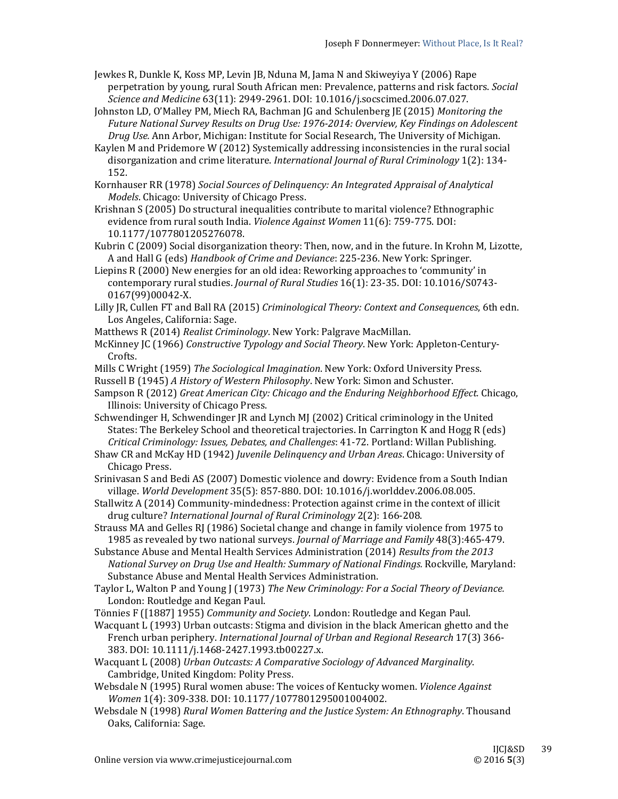- Jewkes R, Dunkle K, Koss MP, Levin JB, Nduna M, Jama N and Skiweyiya Y (2006) Rape perpetration by young, rural South African men: Prevalence, patterns and risk factors. *Social Science and Medicine* 63(11): 2949‐2961. DOI: 10.1016/j.socscimed.2006.07.027.
- Johnston LD, O'Malley PM, Miech RA, Bachman JG and Schulenberg JE (2015) *Monitoring the Future National Survey Results on Drug Use: 1976‐2014: Overview, Key Findings on Adolescent Drug Use.* Ann Arbor, Michigan: Institute for Social Research, The University of Michigan.
- Kaylen M and Pridemore W (2012) Systemically addressing inconsistencies in the rural social disorganization and crime literature. *International Journal of Rural Criminology* 1(2): 134-152.
- Kornhauser RR (1978) *Social Sources of Delinquency: An Integrated Appraisal of Analytical Models*. Chicago: University of Chicago Press.
- Krishnan S (2005) Do structural inequalities contribute to marital violence? Ethnographic evidence from rural south India. *Violence Against Women* 11(6): 759-775. DOI: 10.1177/1077801205276078.
- Kubrin  $C(2009)$  Social disorganization theory: Then, now, and in the future. In Krohn M, Lizotte, A and Hall G (eds) *Handbook of Crime and Deviance*: 225‐236. New York: Springer.
- Liepins R (2000) New energies for an old idea: Reworking approaches to 'community' in contemporary rural studies. *Journal of Rural Studies* 16(1): 23-35. DOI: 10.1016/S0743-0167(99)00042‐X.
- Lilly JR, Cullen FT and Ball RA (2015) *Criminological Theory: Context and Consequences*, 6th edn. Los Angeles, California: Sage.
- Matthews R (2014) *Realist Criminology*. New York: Palgrave MacMillan.
- McKinney JC (1966) Constructive *Typology and Social Theory*. New York: Appleton-Century-Crofts.
- Mills C Wright (1959) The Sociological *Imagination*. New York: Oxford University Press.
- Russell B (1945) *A History of Western Philosophy*. New York: Simon and Schuster.
- Sampson R (2012) *Great American City: Chicago and the Enduring Neighborhood Effect.* Chicago, Illinois: University of Chicago Press.
- Schwendinger H, Schwendinger  $IR$  and Lynch MJ (2002) Critical criminology in the United States: The Berkeley School and theoretical trajectories. In Carrington K and Hogg R (eds) *Critical Criminology: Issues, Debates, and Challenges*: 41‐72. Portland: Willan Publishing.
- Shaw CR and McKay HD (1942) *Juvenile Delinquency and Urban Areas*. Chicago: University of Chicago Press.
- Srinivasan S and Bedi AS (2007) Domestic violence and dowry: Evidence from a South Indian village. *World Development* 35(5): 857‐880. DOI: 10.1016/j.worlddev.2006.08.005.
- Stallwitz A (2014) Community-mindedness: Protection against crime in the context of illicit drug culture? *International Journal of Rural Criminology* 2(2): 166‐208.
- Strauss MA and Gelles RJ (1986) Societal change and change in family violence from 1975 to 1985 as revealed by two national surveys. *Journal of Marriage and Family* 48(3):465-479.
- Substance Abuse and Mental Health Services Administration (2014) *Results from the 2013 National Survey on Drug Use and Health: Summary of National Findings.* Rockville, Maryland: Substance Abuse and Mental Health Services Administration.
- Taylor L, Walton P and Young J (1973) The New Criminology: For a Social Theory of Deviance. London: Routledge and Kegan Paul.
- Tönnies F ([1887] 1955) *Community and Society*. London: Routledge and Kegan Paul.
- Wacquant L (1993) Urban outcasts: Stigma and division in the black American ghetto and the French urban periphery. *International Journal of Urban and Regional Research* 17(3) 366‐ 383. DOI: 10.1111/j.1468-2427.1993.tb00227.x.
- Wacquant L (2008) *Urban Outcasts: A Comparative Sociology of Advanced Marginality*. Cambridge, United Kingdom: Polity Press.
- Websdale N (1995) Rural women abuse: The voices of Kentucky women. *Violence Against Women* 1(4): 309‐338. DOI: 10.1177/1077801295001004002.
- Websdale N (1998) *Rural Women Battering and the Justice System: An Ethnography*. Thousand Oaks, California: Sage.